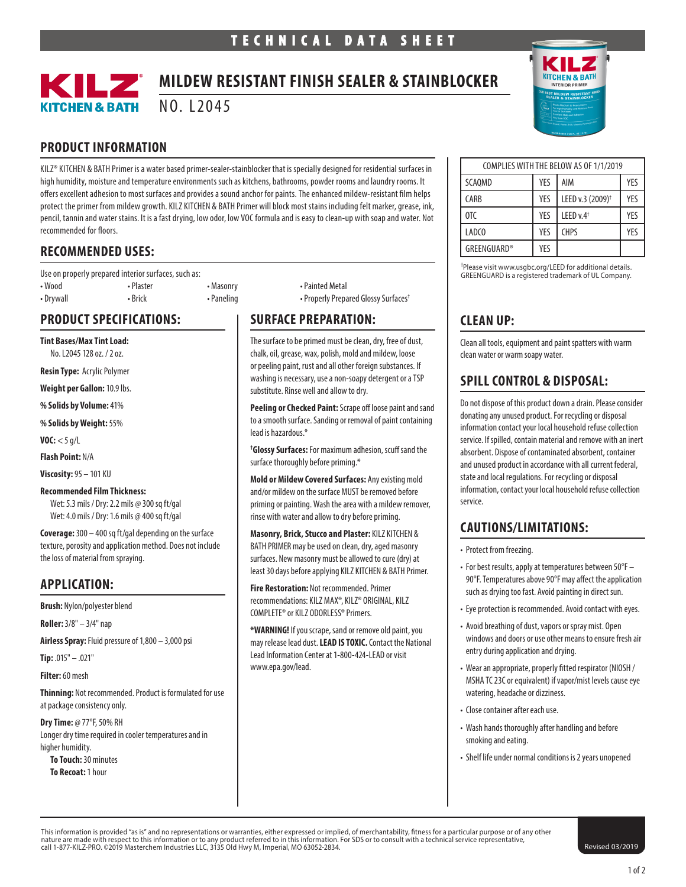

# **MILDEW RESISTANT FINISH SEALER & STAINBLOCKER**

NO. L2045

# **PRODUCT INFORMATION**

KILZ® KITCHEN & BATH Primer is a water based primer-sealer-stainblocker that is specially designed for residential surfaces in high humidity, moisture and temperature environments such as kitchens, bathrooms, powder rooms and laundry rooms. It offers excellent adhesion to most surfaces and provides a sound anchor for paints. The enhanced mildew-resistant film helps protect the primer from mildew growth. KILZ KITCHEN & BATH Primer will block most stains including felt marker, grease, ink, pencil, tannin and water stains. It is a fast drying, low odor, low VOC formula and is easy to clean-up with soap and water. Not recommended for floors.

# **RECOMMENDED USES:**

Use on properly prepared interior surfaces, such as: • Wood • Plaster • Masonry • Painted Metal • Drywall • Brick • Paneling • Properly Prepared Glossy Surfaces†

# **PRODUCT SPECIFICATIONS:**

**Tint Bases/Max Tint Load:** 

No. L2045 128 oz. / 2 oz.

**Resin Type:** Acrylic Polymer

**Weight per Gallon:** 10.9 lbs.

**% Solids by Volume:** 41%

**% Solids by Weight:** 55%

**VOC:**  $<$  5 g/L

**Flash Point:** N/A

**Viscosity:** 95 – 101 KU

#### **Recommended Film Thickness:**

Wet: 5.3 mils / Dry: 2.2 mils @ 300 sq ft/gal Wet: 4.0 mils / Dry: 1.6 mils @ 400 sq ft/gal

**Coverage:** 300 – 400 sq ft/gal depending on the surface texture, porosity and application method. Does not include the loss of material from spraying.

#### **APPLICATION:**

**Brush:** Nylon/polyester blend

**Roller:** 3/8" – 3/4" nap

**Airless Spray:** Fluid pressure of 1,800 – 3,000 psi

**Tip:** .015" – .021"

**Filter:** 60 mesh

**Thinning:** Not recommended. Product is formulated for use at package consistency only.

**Dry Time:** @ 77°F, 50% RH Longer dry time required in cooler temperatures and in higher humidity.

**To Touch:** 30 minutes **To Recoat:** 1 hour

# **SURFACE PREPARATION:**

The surface to be primed must be clean, dry, free of dust, chalk, oil, grease, wax, polish, mold and mildew, loose or peeling paint, rust and all other foreign substances. If washing is necessary, use a non-soapy detergent or a TSP substitute. Rinse well and allow to dry.

**Peeling or Checked Paint:** Scrape off loose paint and sand to a smooth surface. Sanding or removal of paint containing lead is hazardous.\*

**† Glossy Surfaces:** For maximum adhesion, scuff sand the surface thoroughly before priming.\*

**Mold or Mildew Covered Surfaces:** Any existing mold and/or mildew on the surface MUST be removed before priming or painting. Wash the area with a mildew remover, rinse with water and allow to dry before priming.

**Masonry, Brick, Stucco and Plaster:** KILZ KITCHEN & BATH PRIMER may be used on clean, dry, aged masonry surfaces. New masonry must be allowed to cure (dry) at least 30 days before applying KILZ KITCHEN & BATH Primer.

**Fire Restoration:** Not recommended. Primer recommendations: KILZ MAX®, KILZ® ORIGINAL, KILZ COMPLETE® or KILZ ODORLESS® Primers.

**\*WARNING!** If you scrape, sand or remove old paint, you may release lead dust. **LEAD IS TOXIC.** Contact the National Lead Information Center at 1-800-424-LEAD or visit www.epa.gov/lead.



| COMPLIES WITH THE BELOW AS OF 1/1/2019 |     |                              |     |
|----------------------------------------|-----|------------------------------|-----|
| SCAOMD                                 | YES | AIM                          | YFS |
| CARB                                   | YFS | LEED v.3 (2009) <sup>+</sup> | YFS |
| 0T <sub>C</sub>                        | YFS | LEED $v.4$ <sup>+</sup>      | YFS |
| LADC <sub>0</sub>                      | YFS | <b>CHPS</b>                  | YFS |
| <b>GREENGUARD®</b>                     | YES |                              |     |

† Please visit www.usgbc.org/LEED for additional details. GREENGUARD is a registered trademark of UL Company.

# **CLEAN UP:**

Clean all tools, equipment and paint spatters with warm clean water or warm soapy water.

# **SPILL CONTROL & DISPOSAL:**

Do not dispose of this product down a drain. Please consider donating any unused product. For recycling or disposal information contact your local household refuse collection service. If spilled, contain material and remove with an inert absorbent. Dispose of contaminated absorbent, container and unused product in accordance with all current federal, state and local regulations. For recycling or disposal information, contact your local household refuse collection service.

# **CAUTIONS/LIMITATIONS:**

• Protect from freezing.

- For best results, apply at temperatures between 50°F 90°F. Temperatures above 90°F may affect the application such as drying too fast. Avoid painting in direct sun.
- Eye protection is recommended. Avoid contact with eyes.
- Avoid breathing of dust, vapors or spray mist. Open windows and doors or use other means to ensure fresh air entry during application and drying.
- Wear an appropriate, properly fitted respirator (NIOSH / MSHA TC 23C or equivalent) if vapor/mist levels cause eye watering, headache or dizziness.
- Close container after each use.
- Wash hands thoroughly after handling and before smoking and eating.
- Shelf life under normal conditions is 2 years unopened

This information is provided "as is" and no representations or warranties, either expressed or implied, of merchantability, fitness for a particular purpose or of any other nature are made with respect to this information or to any product referred to in this information. For SDS or to consult with a technical service representative, **change 1996, 1999, 1999, 1999, 1999** (Revised 03/2019<br>Call